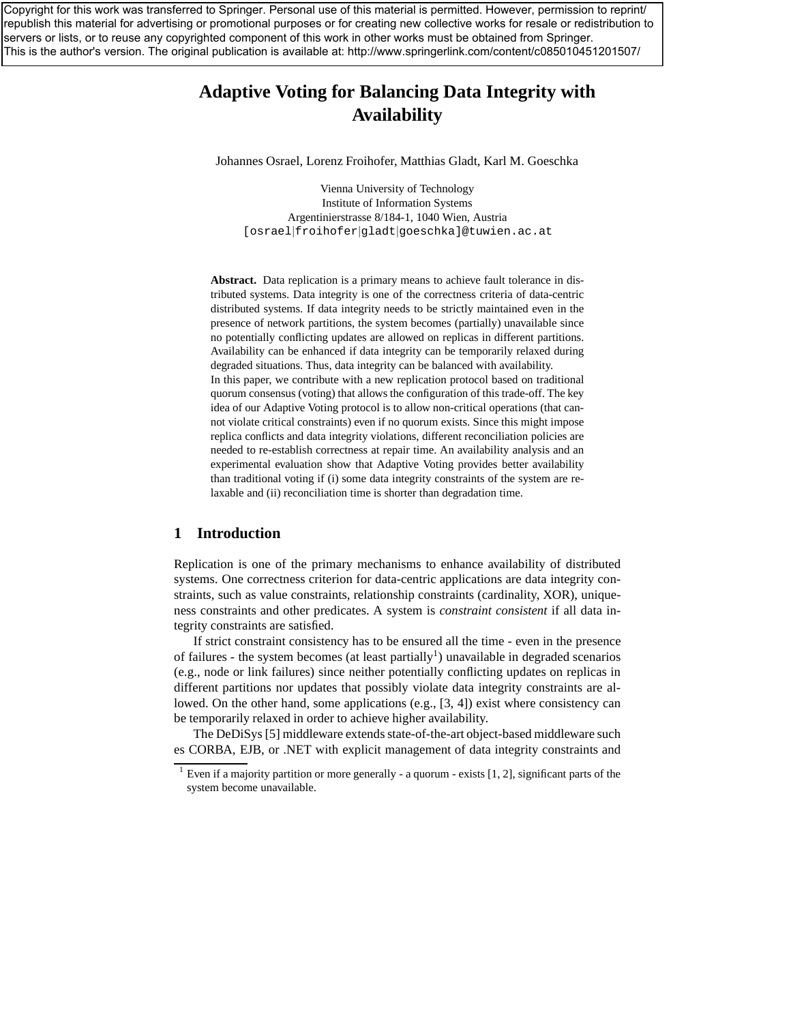Copyright for this work was transferred to Springer. Personal use of this material is permitted. However, permission to reprint/ republish this material for advertising or promotional purposes or for creating new collective works for resale or redistribution to servers or lists, or to reuse any copyrighted component of this work in other works must be obtained from Springer. This is the author's version. The original publication is available at: http://www.springerlink.com/content/c085010451201507/

# **Adaptive Voting for Balancing Data Integrity with Availability**

Johannes Osrael, Lorenz Froihofer, Matthias Gladt, Karl M. Goeschka

Vienna University of Technology Institute of Information Systems Argentinierstrasse 8/184-1, 1040 Wien, Austria [osrael|froihofer|gladt|goeschka]@tuwien.ac.at

**Abstract.** Data replication is a primary means to achieve fault tolerance in distributed systems. Data integrity is one of the correctness criteria of data-centric distributed systems. If data integrity needs to be strictly maintained even in the presence of network partitions, the system becomes (partially) unavailable since no potentially conflicting updates are allowed on replicas in different partitions. Availability can be enhanced if data integrity can be temporarily relaxed during degraded situations. Thus, data integrity can be balanced with availability. In this paper, we contribute with a new replication protocol based on traditional quorum consensus (voting) that allows the configuration of this trade-off. The key idea of our Adaptive Voting protocol is to allow non-critical operations (that cannot violate critical constraints) even if no quorum exists. Since this might impose replica conflicts and data integrity violations, different reconciliation policies are needed to re-establish correctness at repair time. An availability analysis and an experimental evaluation show that Adaptive Voting provides better availability than traditional voting if (i) some data integrity constraints of the system are relaxable and (ii) reconciliation time is shorter than degradation time.

# **1 Introduction**

Replication is one of the primary mechanisms to enhance availability of distributed systems. One correctness criterion for data-centric applications are data integrity constraints, such as value constraints, relationship constraints (cardinality, XOR), uniqueness constraints and other predicates. A system is *constraint consistent* if all data integrity constraints are satisfied.

If strict constraint consistency has to be ensured all the time - even in the presence of failures - the system becomes (at least partially<sup>1</sup>) unavailable in degraded scenarios (e.g., node or link failures) since neither potentially conflicting updates on replicas in different partitions nor updates that possibly violate data integrity constraints are allowed. On the other hand, some applications (e.g., [3, 4]) exist where consistency can be temporarily relaxed in order to achieve higher availability.

The DeDiSys [5] middleware extends state-of-the-art object-based middleware such es CORBA, EJB, or .NET with explicit management of data integrity constraints and

 $1$  Even if a majority partition or more generally - a quorum - exists [1, 2], significant parts of the system become unavailable.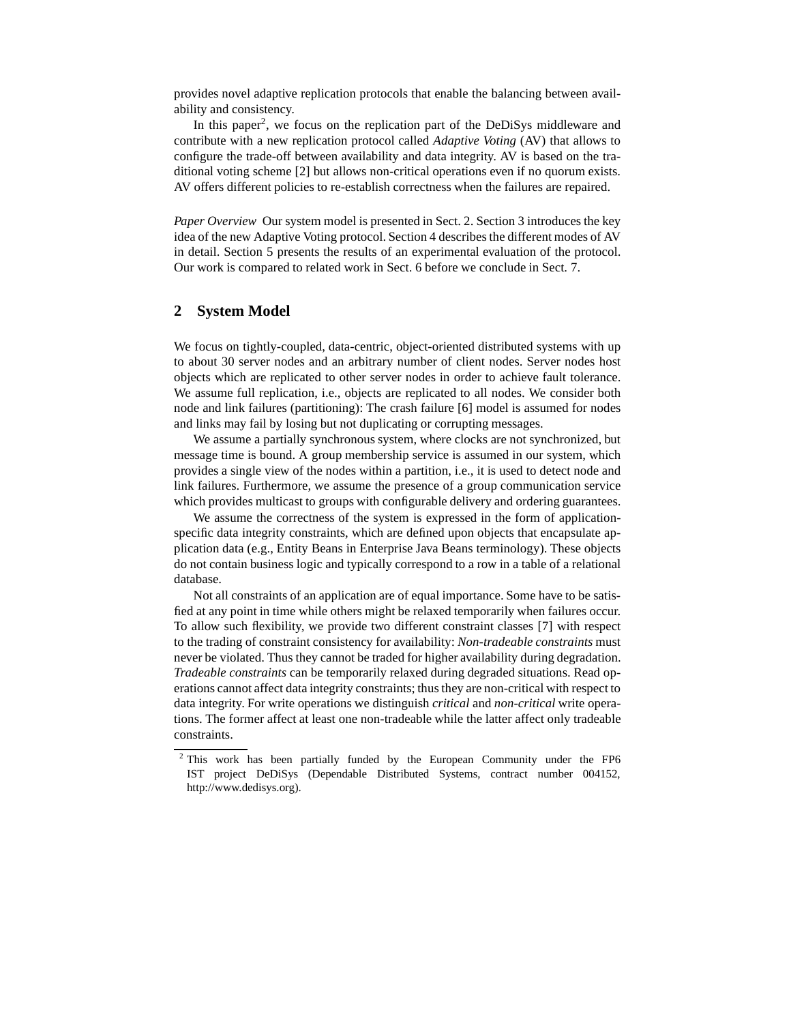provides novel adaptive replication protocols that enable the balancing between availability and consistency.

In this paper<sup>2</sup>, we focus on the replication part of the DeDiSys middleware and contribute with a new replication protocol called *Adaptive Voting* (AV) that allows to configure the trade-off between availability and data integrity. AV is based on the traditional voting scheme [2] but allows non-critical operations even if no quorum exists. AV offers different policies to re-establish correctness when the failures are repaired.

*Paper Overview* Our system model is presented in Sect. 2. Section 3 introduces the key idea of the new Adaptive Voting protocol. Section 4 describes the different modes of AV in detail. Section 5 presents the results of an experimental evaluation of the protocol. Our work is compared to related work in Sect. 6 before we conclude in Sect. 7.

## **2 System Model**

We focus on tightly-coupled, data-centric, object-oriented distributed systems with up to about 30 server nodes and an arbitrary number of client nodes. Server nodes host objects which are replicated to other server nodes in order to achieve fault tolerance. We assume full replication, i.e., objects are replicated to all nodes. We consider both node and link failures (partitioning): The crash failure [6] model is assumed for nodes and links may fail by losing but not duplicating or corrupting messages.

We assume a partially synchronous system, where clocks are not synchronized, but message time is bound. A group membership service is assumed in our system, which provides a single view of the nodes within a partition, i.e., it is used to detect node and link failures. Furthermore, we assume the presence of a group communication service which provides multicast to groups with configurable delivery and ordering guarantees.

We assume the correctness of the system is expressed in the form of applicationspecific data integrity constraints, which are defined upon objects that encapsulate application data (e.g., Entity Beans in Enterprise Java Beans terminology). These objects do not contain business logic and typically correspond to a row in a table of a relational database.

Not all constraints of an application are of equal importance. Some have to be satisfied at any point in time while others might be relaxed temporarily when failures occur. To allow such flexibility, we provide two different constraint classes [7] with respect to the trading of constraint consistency for availability: *Non-tradeable constraints* must never be violated. Thus they cannot be traded for higher availability during degradation. *Tradeable constraints* can be temporarily relaxed during degraded situations. Read operations cannot affect data integrity constraints; thus they are non-critical with respect to data integrity. For write operations we distinguish *critical* and *non-critical* write operations. The former affect at least one non-tradeable while the latter affect only tradeable constraints.

<sup>&</sup>lt;sup>2</sup> This work has been partially funded by the European Community under the FP6 IST project DeDiSys (Dependable Distributed Systems, contract number 004152, http://www.dedisys.org).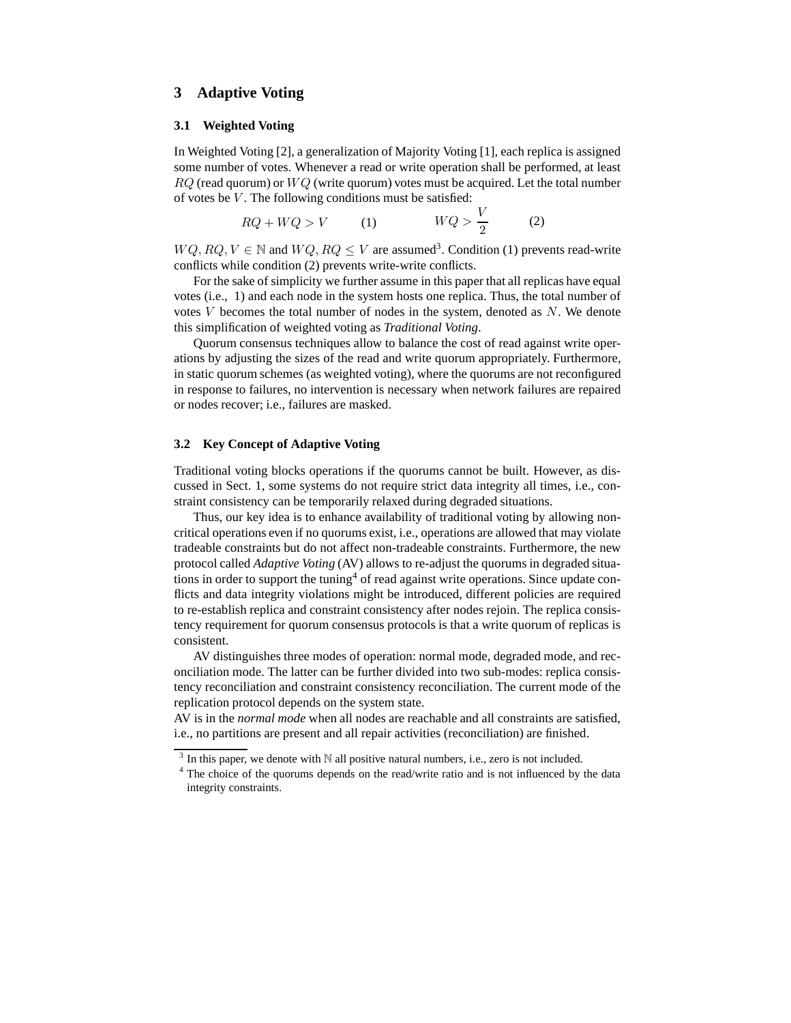# **3 Adaptive Voting**

## **3.1 Weighted Voting**

In Weighted Voting [2], a generalization of Majority Voting [1], each replica is assigned some number of votes. Whenever a read or write operation shall be performed, at least  $RQ$  (read quorum) or  $WQ$  (write quorum) votes must be acquired. Let the total number of votes be  $V$ . The following conditions must be satisfied:

$$
RQ + WQ > V \qquad (1) \qquad \qquad WQ > \frac{V}{2} \qquad (2)
$$

 $WQ, RQ, V \in \mathbb{N}$  and  $WQ, RQ \leq V$  are assumed<sup>3</sup>. Condition (1) prevents read-write conflicts while condition (2) prevents write-write conflicts.

For the sake of simplicity we further assume in this paper that all replicas have equal votes (i.e., 1) and each node in the system hosts one replica. Thus, the total number of votes  $V$  becomes the total number of nodes in the system, denoted as  $N$ . We denote this simplification of weighted voting as *Traditional Voting*.

Quorum consensus techniques allow to balance the cost of read against write operations by adjusting the sizes of the read and write quorum appropriately. Furthermore, in static quorum schemes (as weighted voting), where the quorums are not reconfigured in response to failures, no intervention is necessary when network failures are repaired or nodes recover; i.e., failures are masked.

## **3.2 Key Concept of Adaptive Voting**

Traditional voting blocks operations if the quorums cannot be built. However, as discussed in Sect. 1, some systems do not require strict data integrity all times, i.e., constraint consistency can be temporarily relaxed during degraded situations.

Thus, our key idea is to enhance availability of traditional voting by allowing noncritical operations even if no quorums exist, i.e., operations are allowed that may violate tradeable constraints but do not affect non-tradeable constraints. Furthermore, the new protocol called *Adaptive Voting* (AV) allows to re-adjust the quorums in degraded situations in order to support the tuning<sup>4</sup> of read against write operations. Since update conflicts and data integrity violations might be introduced, different policies are required to re-establish replica and constraint consistency after nodes rejoin. The replica consistency requirement for quorum consensus protocols is that a write quorum of replicas is consistent.

AV distinguishes three modes of operation: normal mode, degraded mode, and reconciliation mode. The latter can be further divided into two sub-modes: replica consistency reconciliation and constraint consistency reconciliation. The current mode of the replication protocol depends on the system state.

AV is in the *normal mode* when all nodes are reachable and all constraints are satisfied, i.e., no partitions are present and all repair activities (reconciliation) are finished.

 $3$  In this paper, we denote with  $\mathbb N$  all positive natural numbers, i.e., zero is not included.

<sup>4</sup> The choice of the quorums depends on the read/write ratio and is not influenced by the data integrity constraints.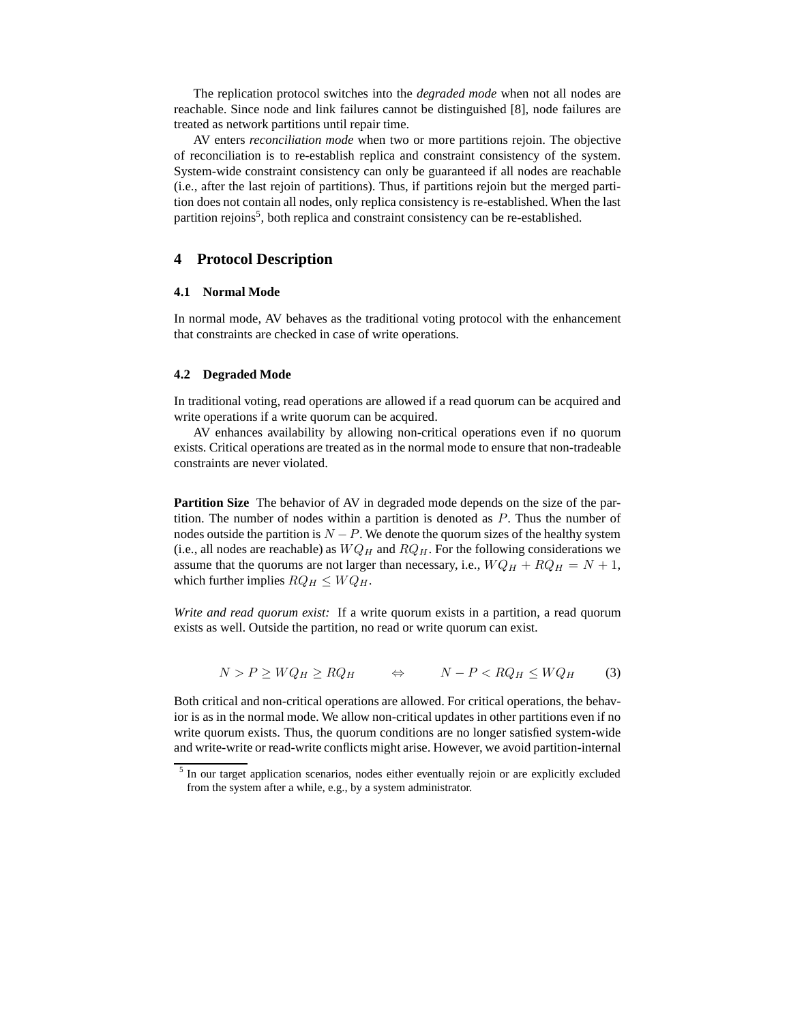The replication protocol switches into the *degraded mode* when not all nodes are reachable. Since node and link failures cannot be distinguished [8], node failures are treated as network partitions until repair time.

AV enters *reconciliation mode* when two or more partitions rejoin. The objective of reconciliation is to re-establish replica and constraint consistency of the system. System-wide constraint consistency can only be guaranteed if all nodes are reachable (i.e., after the last rejoin of partitions). Thus, if partitions rejoin but the merged partition does not contain all nodes, only replica consistency is re-established. When the last partition rejoins<sup>5</sup>, both replica and constraint consistency can be re-established.

## **4 Protocol Description**

## **4.1 Normal Mode**

In normal mode, AV behaves as the traditional voting protocol with the enhancement that constraints are checked in case of write operations.

#### **4.2 Degraded Mode**

In traditional voting, read operations are allowed if a read quorum can be acquired and write operations if a write quorum can be acquired.

AV enhances availability by allowing non-critical operations even if no quorum exists. Critical operations are treated as in the normal mode to ensure that non-tradeable constraints are never violated.

**Partition Size** The behavior of AV in degraded mode depends on the size of the partition. The number of nodes within a partition is denoted as P. Thus the number of nodes outside the partition is  $N - P$ . We denote the quorum sizes of the healthy system (i.e., all nodes are reachable) as  $WQ_H$  and  $RQ_H$ . For the following considerations we assume that the quorums are not larger than necessary, i.e.,  $WQ_H + RQ_H = N + 1$ , which further implies  $RQ_H \leq WQ_H$ .

*Write and read quorum exist:* If a write quorum exists in a partition, a read quorum exists as well. Outside the partition, no read or write quorum can exist.

$$
N > P \ge WQ_H \ge RQ_H \qquad \Leftrightarrow \qquad N - P < RQ_H \le WQ_H \tag{3}
$$

Both critical and non-critical operations are allowed. For critical operations, the behavior is as in the normal mode. We allow non-critical updates in other partitions even if no write quorum exists. Thus, the quorum conditions are no longer satisfied system-wide and write-write or read-write conflicts might arise. However, we avoid partition-internal

<sup>&</sup>lt;sup>5</sup> In our target application scenarios, nodes either eventually rejoin or are explicitly excluded from the system after a while, e.g., by a system administrator.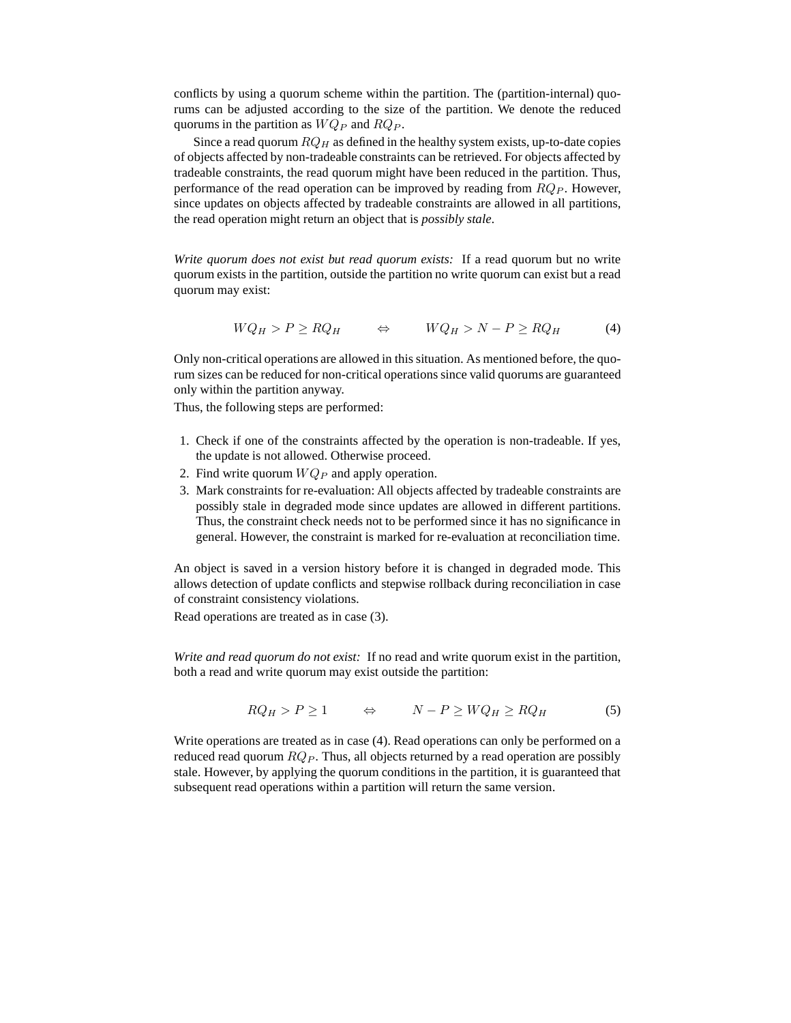conflicts by using a quorum scheme within the partition. The (partition-internal) quorums can be adjusted according to the size of the partition. We denote the reduced quorums in the partition as  $WQ_P$  and  $RQ_P$ .

Since a read quorum  $RQ_H$  as defined in the healthy system exists, up-to-date copies of objects affected by non-tradeable constraints can be retrieved. For objects affected by tradeable constraints, the read quorum might have been reduced in the partition. Thus, performance of the read operation can be improved by reading from  $RQ_P$ . However, since updates on objects affected by tradeable constraints are allowed in all partitions, the read operation might return an object that is *possibly stale*.

*Write quorum does not exist but read quorum exists:* If a read quorum but no write quorum exists in the partition, outside the partition no write quorum can exist but a read quorum may exist:

$$
WQ_H > P \ge RQ_H \qquad \Leftrightarrow \qquad WQ_H > N - P \ge RQ_H \tag{4}
$$

Only non-critical operations are allowed in this situation. As mentioned before, the quorum sizes can be reduced for non-critical operations since valid quorums are guaranteed only within the partition anyway.

Thus, the following steps are performed:

- 1. Check if one of the constraints affected by the operation is non-tradeable. If yes, the update is not allowed. Otherwise proceed.
- 2. Find write quorum  $WQ_P$  and apply operation.
- 3. Mark constraints for re-evaluation: All objects affected by tradeable constraints are possibly stale in degraded mode since updates are allowed in different partitions. Thus, the constraint check needs not to be performed since it has no significance in general. However, the constraint is marked for re-evaluation at reconciliation time.

An object is saved in a version history before it is changed in degraded mode. This allows detection of update conflicts and stepwise rollback during reconciliation in case of constraint consistency violations.

Read operations are treated as in case (3).

*Write and read quorum do not exist:* If no read and write quorum exist in the partition, both a read and write quorum may exist outside the partition:

$$
RQ_H > P \ge 1 \qquad \Leftrightarrow \qquad N - P \ge WQ_H \ge RQ_H \tag{5}
$$

Write operations are treated as in case (4). Read operations can only be performed on a reduced read quorum  $RQ_P$ . Thus, all objects returned by a read operation are possibly stale. However, by applying the quorum conditions in the partition, it is guaranteed that subsequent read operations within a partition will return the same version.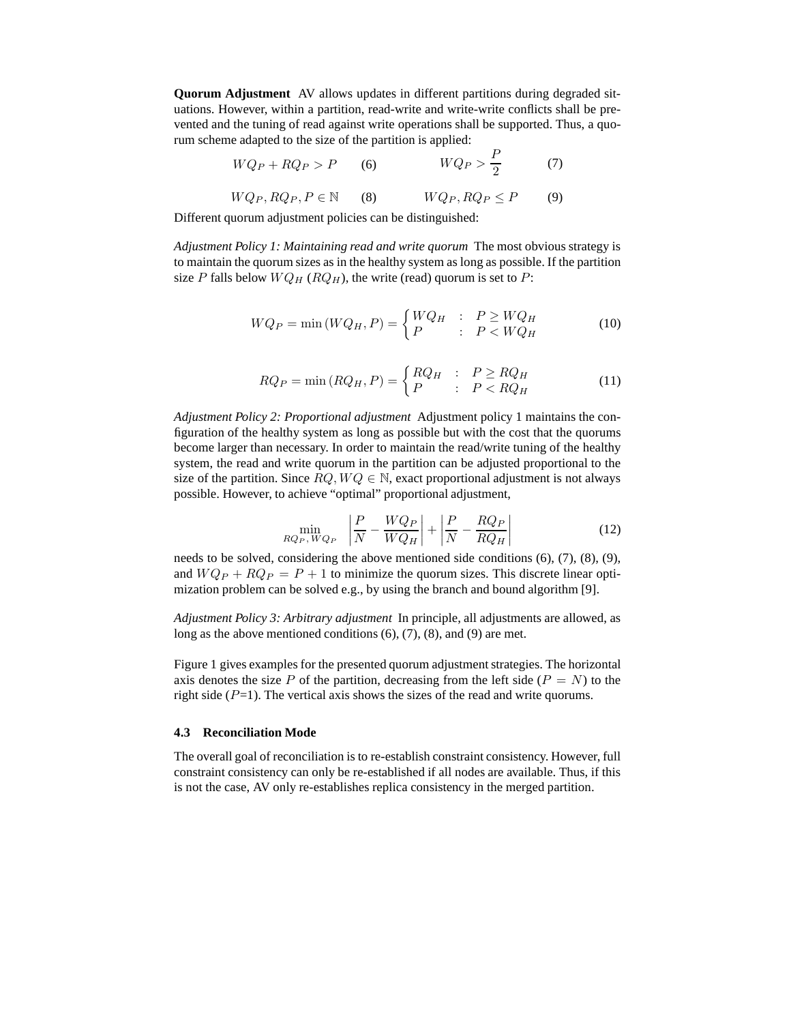**Quorum Adjustment** AV allows updates in different partitions during degraded situations. However, within a partition, read-write and write-write conflicts shall be prevented and the tuning of read against write operations shall be supported. Thus, a quorum scheme adapted to the size of the partition is applied:  $\overline{D}$ 

$$
WQ_P + RQ_P > P \qquad (6) \qquad \qquad WQ_P > \frac{r}{2} \qquad (7)
$$
  

$$
WQ_P, RQ_P, P \in \mathbb{N} \qquad (8) \qquad \qquad WQ_P, RQ_P \le P \qquad (9)
$$

Different quorum adjustment policies can be distinguished:

*Adjustment Policy 1: Maintaining read and write quorum* The most obvious strategy is to maintain the quorum sizes as in the healthy system as long as possible. If the partition size P falls below  $WQ_H$  ( $RQ_H$ ), the write (read) quorum is set to P:

$$
WQ_P = \min(WQ_H, P) = \begin{cases} WQ_H & : P \ge WQ_H \\ P & : P < WQ_H \end{cases} \tag{10}
$$

$$
RQ_P = \min(RQ_H, P) = \begin{cases} RQ_H & \colon & P \ge RQ_H \\ P & \colon & P < RQ_H \end{cases} \tag{11}
$$

*Adjustment Policy 2: Proportional adjustment* Adjustment policy 1 maintains the configuration of the healthy system as long as possible but with the cost that the quorums become larger than necessary. In order to maintain the read/write tuning of the healthy system, the read and write quorum in the partition can be adjusted proportional to the size of the partition. Since  $RQ, WQ \in \mathbb{N}$ , exact proportional adjustment is not always possible. However, to achieve "optimal" proportional adjustment,

$$
\min_{RQ_P, WQ_P} \quad \left| \frac{P}{N} - \frac{WQ_P}{WQ_H} \right| + \left| \frac{P}{N} - \frac{RQ_P}{RQ_H} \right| \tag{12}
$$

needs to be solved, considering the above mentioned side conditions (6), (7), (8), (9), and  $WQ_P + RQ_P = P + 1$  to minimize the quorum sizes. This discrete linear optimization problem can be solved e.g., by using the branch and bound algorithm [9].

*Adjustment Policy 3: Arbitrary adjustment* In principle, all adjustments are allowed, as long as the above mentioned conditions (6), (7), (8), and (9) are met.

Figure 1 gives examples for the presented quorum adjustment strategies. The horizontal axis denotes the size P of the partition, decreasing from the left side ( $P = N$ ) to the right side  $(P=1)$ . The vertical axis shows the sizes of the read and write quorums.

#### **4.3 Reconciliation Mode**

The overall goal of reconciliation is to re-establish constraint consistency. However, full constraint consistency can only be re-established if all nodes are available. Thus, if this is not the case, AV only re-establishes replica consistency in the merged partition.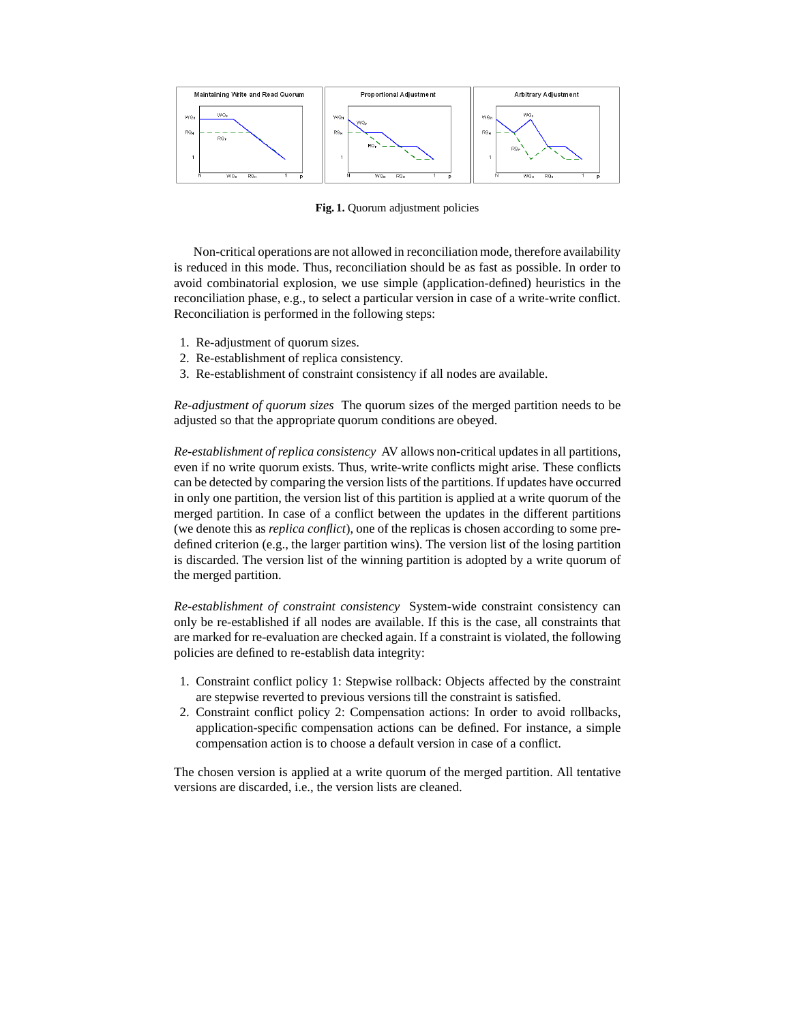

**Fig. 1.** Quorum adjustment policies

Non-critical operations are not allowed in reconciliation mode, therefore availability is reduced in this mode. Thus, reconciliation should be as fast as possible. In order to avoid combinatorial explosion, we use simple (application-defined) heuristics in the reconciliation phase, e.g., to select a particular version in case of a write-write conflict. Reconciliation is performed in the following steps:

- 1. Re-adjustment of quorum sizes.
- 2. Re-establishment of replica consistency.
- 3. Re-establishment of constraint consistency if all nodes are available.

*Re-adjustment of quorum sizes* The quorum sizes of the merged partition needs to be adjusted so that the appropriate quorum conditions are obeyed.

*Re-establishment of replica consistency* AV allows non-critical updates in all partitions, even if no write quorum exists. Thus, write-write conflicts might arise. These conflicts can be detected by comparing the version lists of the partitions. If updates have occurred in only one partition, the version list of this partition is applied at a write quorum of the merged partition. In case of a conflict between the updates in the different partitions (we denote this as *replica conflict*), one of the replicas is chosen according to some predefined criterion (e.g., the larger partition wins). The version list of the losing partition is discarded. The version list of the winning partition is adopted by a write quorum of the merged partition.

*Re-establishment of constraint consistency* System-wide constraint consistency can only be re-established if all nodes are available. If this is the case, all constraints that are marked for re-evaluation are checked again. If a constraint is violated, the following policies are defined to re-establish data integrity:

- 1. Constraint conflict policy 1: Stepwise rollback: Objects affected by the constraint are stepwise reverted to previous versions till the constraint is satisfied.
- 2. Constraint conflict policy 2: Compensation actions: In order to avoid rollbacks, application-specific compensation actions can be defined. For instance, a simple compensation action is to choose a default version in case of a conflict.

The chosen version is applied at a write quorum of the merged partition. All tentative versions are discarded, i.e., the version lists are cleaned.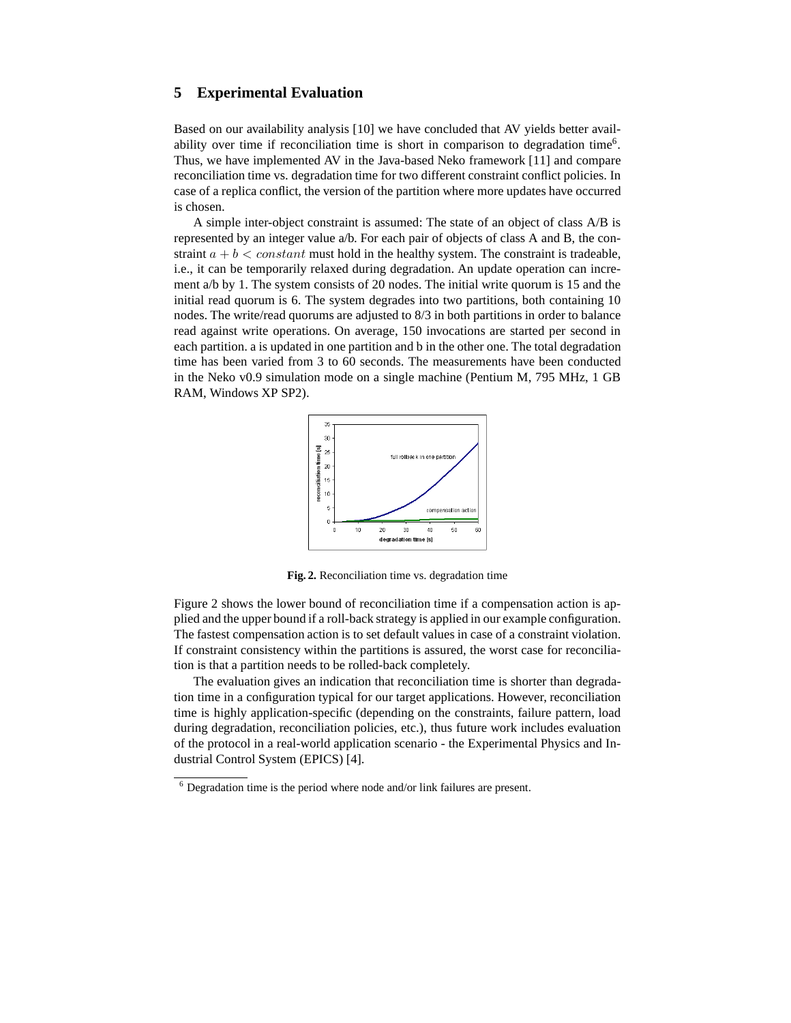# **5 Experimental Evaluation**

Based on our availability analysis [10] we have concluded that AV yields better availability over time if reconciliation time is short in comparison to degradation time<sup>6</sup>. Thus, we have implemented AV in the Java-based Neko framework [11] and compare reconciliation time vs. degradation time for two different constraint conflict policies. In case of a replica conflict, the version of the partition where more updates have occurred is chosen.

A simple inter-object constraint is assumed: The state of an object of class A/B is represented by an integer value a/b. For each pair of objects of class A and B, the constraint  $a + b < constant$  must hold in the healthy system. The constraint is tradeable, i.e., it can be temporarily relaxed during degradation. An update operation can increment a/b by 1. The system consists of 20 nodes. The initial write quorum is 15 and the initial read quorum is 6. The system degrades into two partitions, both containing 10 nodes. The write/read quorums are adjusted to 8/3 in both partitions in order to balance read against write operations. On average, 150 invocations are started per second in each partition. a is updated in one partition and b in the other one. The total degradation time has been varied from 3 to 60 seconds. The measurements have been conducted in the Neko v0.9 simulation mode on a single machine (Pentium M, 795 MHz, 1 GB RAM, Windows XP SP2).



**Fig. 2.** Reconciliation time vs. degradation time

Figure 2 shows the lower bound of reconciliation time if a compensation action is applied and the upper bound if a roll-back strategy is applied in our example configuration. The fastest compensation action is to set default values in case of a constraint violation. If constraint consistency within the partitions is assured, the worst case for reconciliation is that a partition needs to be rolled-back completely.

The evaluation gives an indication that reconciliation time is shorter than degradation time in a configuration typical for our target applications. However, reconciliation time is highly application-specific (depending on the constraints, failure pattern, load during degradation, reconciliation policies, etc.), thus future work includes evaluation of the protocol in a real-world application scenario - the Experimental Physics and Industrial Control System (EPICS) [4].

 $6$  Degradation time is the period where node and/or link failures are present.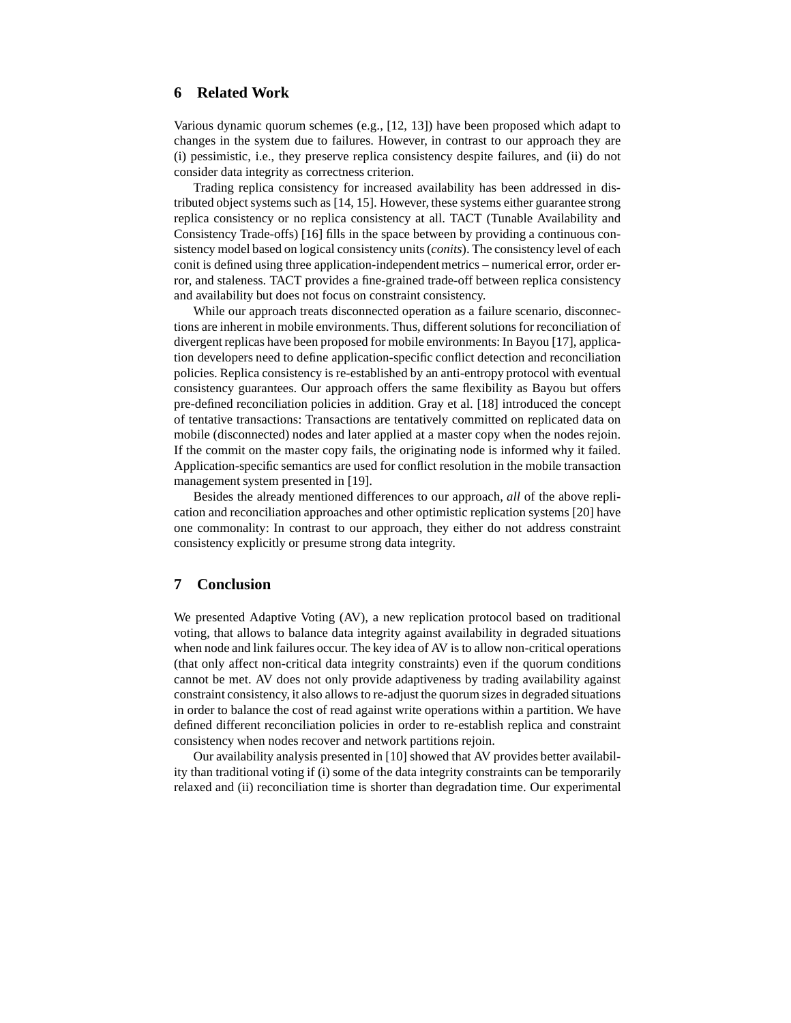# **6 Related Work**

Various dynamic quorum schemes (e.g., [12, 13]) have been proposed which adapt to changes in the system due to failures. However, in contrast to our approach they are (i) pessimistic, i.e., they preserve replica consistency despite failures, and (ii) do not consider data integrity as correctness criterion.

Trading replica consistency for increased availability has been addressed in distributed object systems such as [14, 15]. However, these systems either guarantee strong replica consistency or no replica consistency at all. TACT (Tunable Availability and Consistency Trade-offs) [16] fills in the space between by providing a continuous consistency model based on logical consistency units (*conits*). The consistency level of each conit is defined using three application-independent metrics – numerical error, order error, and staleness. TACT provides a fine-grained trade-off between replica consistency and availability but does not focus on constraint consistency.

While our approach treats disconnected operation as a failure scenario, disconnections are inherent in mobile environments. Thus, different solutions for reconciliation of divergent replicas have been proposed for mobile environments: In Bayou [17], application developers need to define application-specific conflict detection and reconciliation policies. Replica consistency is re-established by an anti-entropy protocol with eventual consistency guarantees. Our approach offers the same flexibility as Bayou but offers pre-defined reconciliation policies in addition. Gray et al. [18] introduced the concept of tentative transactions: Transactions are tentatively committed on replicated data on mobile (disconnected) nodes and later applied at a master copy when the nodes rejoin. If the commit on the master copy fails, the originating node is informed why it failed. Application-specific semantics are used for conflict resolution in the mobile transaction management system presented in [19].

Besides the already mentioned differences to our approach, *all* of the above replication and reconciliation approaches and other optimistic replication systems [20] have one commonality: In contrast to our approach, they either do not address constraint consistency explicitly or presume strong data integrity.

## **7 Conclusion**

We presented Adaptive Voting (AV), a new replication protocol based on traditional voting, that allows to balance data integrity against availability in degraded situations when node and link failures occur. The key idea of AV is to allow non-critical operations (that only affect non-critical data integrity constraints) even if the quorum conditions cannot be met. AV does not only provide adaptiveness by trading availability against constraint consistency, it also allows to re-adjust the quorum sizes in degraded situations in order to balance the cost of read against write operations within a partition. We have defined different reconciliation policies in order to re-establish replica and constraint consistency when nodes recover and network partitions rejoin.

Our availability analysis presented in [10] showed that AV provides better availability than traditional voting if (i) some of the data integrity constraints can be temporarily relaxed and (ii) reconciliation time is shorter than degradation time. Our experimental